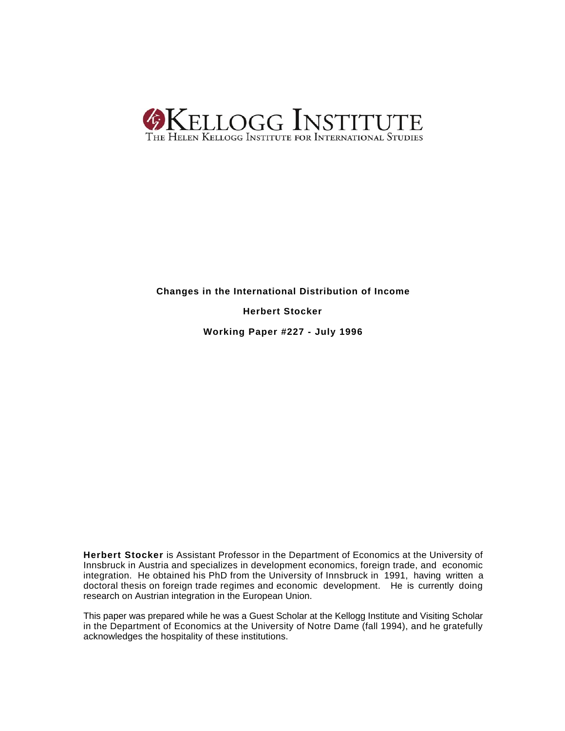

## **Changes in the International Distribution of Income**

**Herbert Stocker**

**Working Paper #227 - July 1996**

**Herbert Stocker** is Assistant Professor in the Department of Economics at the University of Innsbruck in Austria and specializes in development economics, foreign trade, and economic integration. He obtained his PhD from the University of Innsbruck in 1991, having written a doctoral thesis on foreign trade regimes and economic development. He is currently doing research on Austrian integration in the European Union.

This paper was prepared while he was a Guest Scholar at the Kellogg Institute and Visiting Scholar in the Department of Economics at the University of Notre Dame (fall 1994), and he gratefully acknowledges the hospitality of these institutions.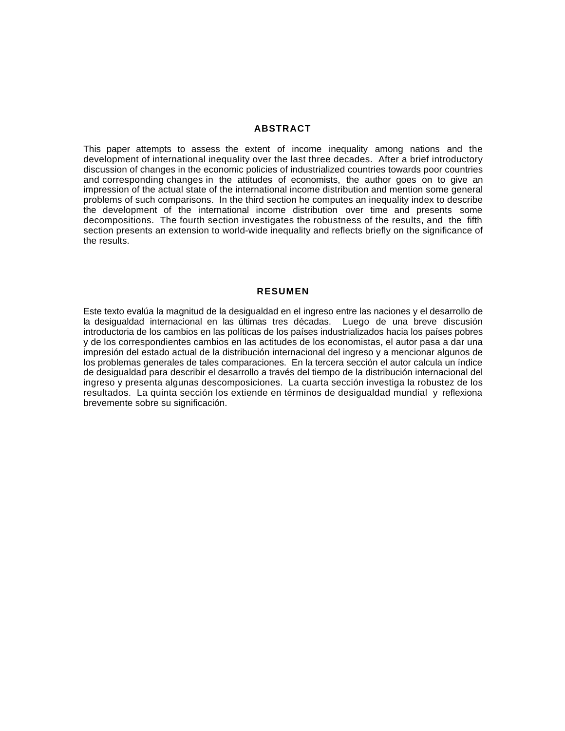## **ABSTRACT**

This paper attempts to assess the extent of income inequality among nations and the development of international inequality over the last three decades. After a brief introductory discussion of changes in the economic policies of industrialized countries towards poor countries and corresponding changes in the attitudes of economists, the author goes on to give an impression of the actual state of the international income distribution and mention some general problems of such comparisons. In the third section he computes an inequality index to describe the development of the international income distribution over time and presents some decompositions. The fourth section investigates the robustness of the results, and the fifth section presents an extension to world-wide inequality and reflects briefly on the significance of the results.

## **RESUMEN**

Este texto evalúa la magnitud de la desigualdad en el ingreso entre las naciones y el desarrollo de la desigualdad internacional en las últimas tres décadas. Luego de una breve discusión introductoria de los cambios en las políticas de los países industrializados hacia los países pobres y de los correspondientes cambios en las actitudes de los economistas, el autor pasa a dar una impresión del estado actual de la distribución internacional del ingreso y a mencionar algunos de los problemas generales de tales comparaciones. En la tercera sección el autor calcula un índice de desigualdad para describir el desarrollo a través del tiempo de la distribución internacional del ingreso y presenta algunas descomposiciones. La cuarta sección investiga la robustez de los resultados. La quinta sección los extiende en términos de desigualdad mundial y reflexiona brevemente sobre su significación.